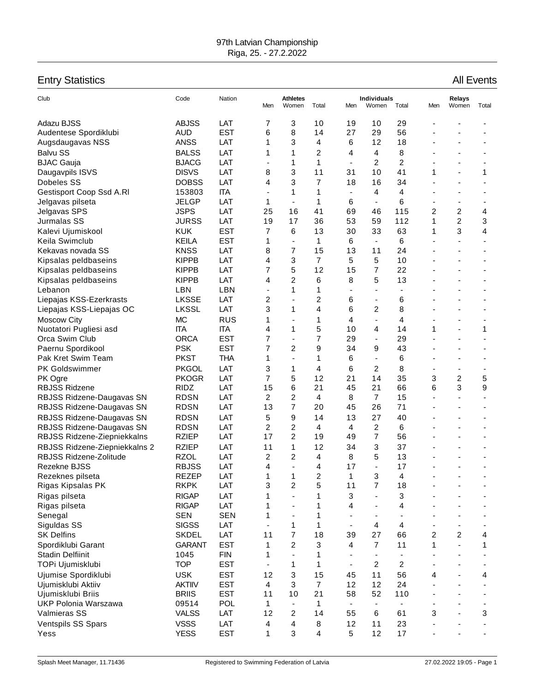## 97th Latvian Championship Riga, 25. - 27.2.2022

## Entry Statistics **All Events**

| Club                                             | Code                          | Nation                   | Men                      | <b>Athletes</b><br>Women | Total                | Men                      | <b>Individuals</b><br>Women | Total                    | Men | Relays<br>Women          | Total |
|--------------------------------------------------|-------------------------------|--------------------------|--------------------------|--------------------------|----------------------|--------------------------|-----------------------------|--------------------------|-----|--------------------------|-------|
| Adazu BJSS                                       | <b>ABJSS</b>                  | LAT                      | 7                        | 3                        | 10                   | 19                       | 10                          | 29                       |     |                          |       |
| Audentese Spordiklubi                            | <b>AUD</b>                    | <b>EST</b>               | 6                        | 8                        | 14                   | 27                       | 29                          | 56                       |     |                          |       |
| Augsdaugavas NSS                                 | <b>ANSS</b>                   | LAT                      | 1                        | 3                        | 4                    | 6                        | 12                          | 18                       |     |                          |       |
| <b>Balvu SS</b>                                  | <b>BALSS</b>                  | LAT                      | 1                        | 1                        | 2                    | 4                        | 4                           | 8                        |     |                          |       |
| <b>BJAC Gauja</b>                                | <b>BJACG</b>                  | LAT                      | $\overline{\phantom{a}}$ | 1                        | 1                    | $\blacksquare$           | 2                           | $\overline{c}$           |     | ٠                        |       |
| Daugavpils ISVS                                  | <b>DISVS</b>                  | LAT                      | 8                        | 3                        | 11                   | 31                       | 10                          | 41                       | 1   |                          | 1     |
| Dobeles SS                                       | <b>DOBSS</b>                  | LAT                      | 4                        | 3                        | 7                    | 18                       | 16                          | 34                       |     |                          |       |
| Gestisport Coop Ssd A.RI                         | 153803                        | <b>ITA</b>               |                          | 1                        | 1                    | $\overline{\phantom{a}}$ | 4                           | 4                        |     |                          |       |
| Jelgavas pilseta                                 | <b>JELGP</b>                  | LAT                      | 1                        | $\blacksquare$           | 1                    | 6                        | $\overline{\phantom{a}}$    | 6                        |     | ٠                        |       |
| Jelgavas SPS                                     | <b>JSPS</b>                   | LAT                      | 25                       | 16                       | 41                   | 69                       | 46                          | 115                      | 2   | $\overline{\mathbf{c}}$  | 4     |
| Jurmalas SS                                      | <b>JURSS</b>                  | LAT                      | 19                       | 17                       | 36                   | 53                       | 59                          | 112                      | 1   | $\overline{c}$           | 3     |
| Kalevi Ujumiskool                                | <b>KUK</b>                    | <b>EST</b>               | $\overline{7}$           | 6                        | 13                   | 30                       | 33                          | 63                       | 1   | 3                        | 4     |
| Keila Swimclub                                   | <b>KEILA</b>                  | <b>EST</b>               | 1                        | $\blacksquare$           | 1                    | 6                        | $\overline{\phantom{a}}$    | 6                        | ÷,  |                          |       |
| Kekavas novada SS                                | <b>KNSS</b>                   | LAT                      | 8                        | $\overline{7}$           | 15                   | 13                       | 11                          | 24                       |     |                          |       |
| Kipsalas peldbaseins                             | <b>KIPPB</b>                  | LAT                      | 4                        | 3                        | $\overline{7}$       | 5                        | 5                           | 10                       |     |                          |       |
| Kipsalas peldbaseins                             | <b>KIPPB</b>                  | LAT                      | 7                        | 5                        | 12                   | 15                       | $\overline{7}$              | 22                       |     |                          |       |
| Kipsalas peldbaseins                             | <b>KIPPB</b>                  | LAT                      | 4                        | 2                        | 6                    | 8                        | 5                           | 13                       |     |                          |       |
| Lebanon                                          | <b>LBN</b>                    | LBN                      | $\overline{\phantom{a}}$ | 1                        | 1                    | $\blacksquare$           |                             | $\overline{\phantom{a}}$ |     |                          |       |
| Liepajas KSS-Ezerkrasts                          | <b>LKSSE</b>                  | LAT                      | 2                        | $\blacksquare$           | 2                    | 6                        | $\overline{\phantom{a}}$    | 6                        |     |                          |       |
| Liepajas KSS-Liepajas OC                         | <b>LKSSL</b>                  | LAT                      | 3                        | 1                        | 4                    | 6                        | 2                           | 8                        |     |                          |       |
| <b>Moscow City</b>                               | <b>MC</b>                     | <b>RUS</b>               | 1                        | $\blacksquare$           | 1                    | 4                        | $\blacksquare$              | 4                        |     | $\overline{\phantom{0}}$ |       |
| Nuotatori Pugliesi asd                           | <b>ITA</b>                    | <b>ITA</b>               | 4                        | 1                        | 5                    | 10                       | 4                           | 14                       | 1   |                          | 1     |
| Orca Swim Club                                   | <b>ORCA</b>                   | <b>EST</b>               | 7                        | $\blacksquare$           | 7                    | 29                       | $\overline{\phantom{a}}$    | 29                       |     |                          |       |
| Paernu Spordikool                                | <b>PSK</b>                    | <b>EST</b>               | $\overline{7}$           | 2                        | 9                    | 34                       | 9                           | 43                       |     |                          |       |
| Pak Kret Swim Team                               | <b>PKST</b>                   | <b>THA</b>               | 1                        | $\blacksquare$           | 1                    | 6                        | $\blacksquare$              | 6                        |     |                          |       |
| PK Goldswimmer                                   | <b>PKGOL</b>                  | LAT                      | 3                        | 1                        | 4                    | 6                        | $\overline{2}$              | 8                        |     |                          |       |
| PK Ogre                                          | <b>PKOGR</b>                  | LAT                      | $\overline{7}$           | 5                        | 12                   | 21                       | 14                          | 35                       | 3   | 2                        | 5     |
| <b>RBJSS Ridzene</b>                             | <b>RIDZ</b>                   | LAT                      | 15                       | 6                        | 21                   | 45                       | 21                          | 66                       | 6   | 3                        | 9     |
| RBJSS Ridzene-Daugavas SN                        | <b>RDSN</b>                   | LAT                      | $\overline{2}$           | 2                        | 4                    | 8                        | $\overline{7}$              | 15                       |     | ٠                        |       |
| RBJSS Ridzene-Daugavas SN                        | <b>RDSN</b>                   | LAT                      | 13                       | $\overline{7}$           | 20                   | 45                       | 26                          | 71                       |     |                          |       |
| RBJSS Ridzene-Daugavas SN                        | <b>RDSN</b>                   | LAT                      | 5                        | 9                        | 14                   | 13                       | 27                          | 40                       |     |                          |       |
| RBJSS Ridzene-Daugavas SN                        | <b>RDSN</b>                   | LAT                      | 2                        | 2                        | 4                    | 4                        | 2                           | 6                        |     |                          |       |
| RBJSS Ridzene-Ziepniekkalns                      | <b>RZIEP</b>                  | LAT                      | 17                       | 2                        | 19                   | 49                       | $\overline{7}$              | 56                       |     |                          |       |
| RBJSS Ridzene-Ziepniekkalns 2                    | <b>RZIEP</b>                  | LAT                      | 11                       | 1                        | 12                   | 34                       | 3                           | 37                       |     |                          |       |
| RBJSS Ridzene-Zolitude                           | <b>RZOL</b>                   | LAT                      | $\overline{c}$           | 2                        | 4                    | 8                        | 5                           | 13                       |     |                          |       |
| Rezekne BJSS                                     | <b>RBJSS</b>                  | LAT                      | 4                        | $\blacksquare$           | 4                    | 17                       |                             | 17                       |     |                          |       |
| Rezeknes pilseta                                 | <b>REZEP</b>                  | LAT                      | 1                        | 1                        | $\overline{2}$       | 1                        | 3                           | 4                        |     |                          |       |
| Rigas Kipsalas PK                                | <b>RKPK</b>                   | LAT                      | 3                        | 2                        | 5                    | 11                       | $\overline{7}$              | 18                       |     |                          |       |
| Rigas pilseta                                    | <b>RIGAP</b>                  | LAT                      | 1                        | ä,                       | 1                    | 3                        | L,                          | 3                        |     |                          |       |
| Rigas pilseta                                    | <b>RIGAP</b>                  | LAT                      | 1                        | $\overline{\phantom{a}}$ | 1                    | 4                        |                             | 4                        |     |                          |       |
| Senegal                                          | <b>SEN</b>                    | <b>SEN</b>               | 1                        | $\blacksquare$           | 1                    | $\blacksquare$           | $\overline{\phantom{a}}$    |                          |     |                          |       |
| Siguldas SS                                      | <b>SIGSS</b>                  | LAT                      |                          | 1                        | 1                    | $\blacksquare$           | 4                           | 4                        |     |                          |       |
| <b>SK Delfins</b>                                | <b>SKDEL</b>                  | LAT                      | 11                       | $\overline{7}$           | 18                   | 39                       | 27                          | 66                       | 2   | $\overline{c}$           | 4     |
| Spordiklubi Garant                               | <b>GARANT</b>                 | <b>EST</b>               | 1                        | $\overline{c}$           | 3                    | 4                        | $\overline{7}$              | 11                       | 1   |                          | 1     |
| <b>Stadin Delfiinit</b>                          | 1045                          | <b>FIN</b>               | 1                        | $\blacksquare$           | 1                    | $\overline{\phantom{a}}$ | $\overline{\phantom{a}}$    | $\overline{\phantom{a}}$ |     |                          |       |
| TOPi Ujumisklubi                                 | <b>TOP</b>                    | <b>EST</b>               | $\blacksquare$           | 1                        | 1                    | $\blacksquare$           | 2                           | 2                        |     |                          |       |
|                                                  |                               |                          |                          |                          |                      |                          | 11                          |                          |     |                          |       |
| Ujumise Spordiklubi                              | <b>USK</b>                    | <b>EST</b>               | 12                       | 3                        | 15<br>$\overline{7}$ | 45<br>12                 | 12                          | 56<br>24                 | 4   |                          | 4     |
| Ujumisklubi Aktiiv                               | <b>AKTIIV</b><br><b>BRIIS</b> | <b>EST</b><br><b>EST</b> | 4<br>11                  | 3<br>10                  | 21                   | 58                       | 52                          | 110                      |     |                          |       |
| Ujumisklubi Briis<br><b>UKP Polonia Warszawa</b> | 09514                         | <b>POL</b>               | 1                        | $\overline{\phantom{a}}$ | 1                    | $\blacksquare$           | $\overline{\phantom{a}}$    | $\overline{\phantom{a}}$ |     |                          |       |
| Valmieras SS                                     | <b>VALSS</b>                  | LAT                      | 12                       | 2                        | 14                   | 55                       | 6                           | 61                       | 3   |                          | 3     |
|                                                  |                               |                          |                          |                          |                      |                          |                             |                          |     |                          |       |
| Ventspils SS Spars                               | <b>VSSS</b>                   | LAT                      | 4                        | 4                        | 8                    | 12                       | 11                          | 23                       |     |                          |       |
| Yess                                             | <b>YESS</b>                   | <b>EST</b>               | 1                        | 3                        | 4                    | 5                        | 12                          | 17                       |     |                          |       |